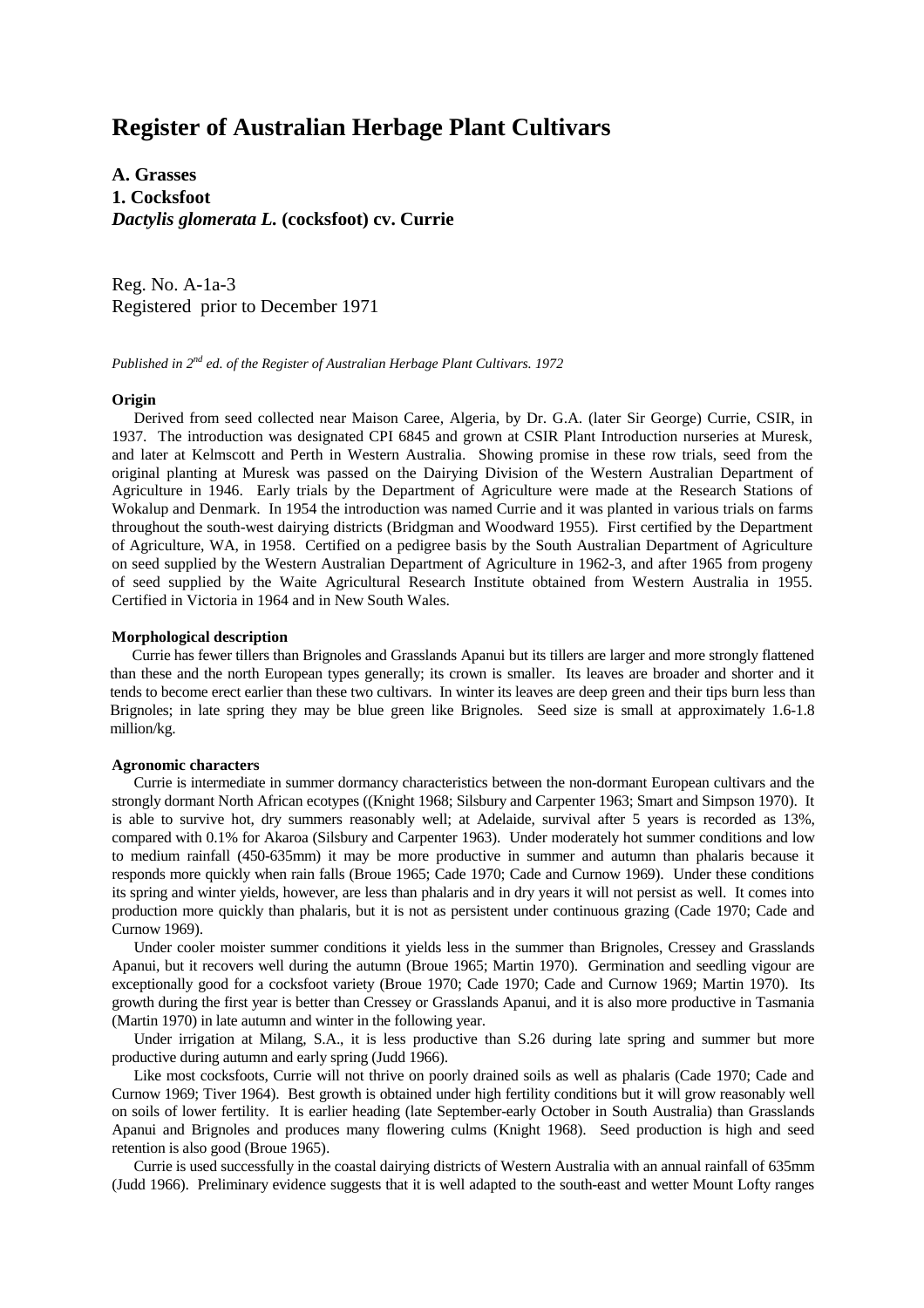# **Register of Australian Herbage Plant Cultivars**

**A. Grasses 1. Cocksfoot** *Dactylis glomerata L.* **(cocksfoot) cv. Currie**

Reg. No. A-1a-3 Registered prior to December 1971

*Published in 2nd ed. of the Register of Australian Herbage Plant Cultivars. 1972*

## **Origin**

Derived from seed collected near Maison Caree, Algeria, by Dr. G.A. (later Sir George) Currie, CSIR, in 1937. The introduction was designated CPI 6845 and grown at CSIR Plant Introduction nurseries at Muresk, and later at Kelmscott and Perth in Western Australia. Showing promise in these row trials, seed from the original planting at Muresk was passed on the Dairying Division of the Western Australian Department of Agriculture in 1946. Early trials by the Department of Agriculture were made at the Research Stations of Wokalup and Denmark. In 1954 the introduction was named Currie and it was planted in various trials on farms throughout the south-west dairying districts (Bridgman and Woodward 1955). First certified by the Department of Agriculture, WA, in 1958. Certified on a pedigree basis by the South Australian Department of Agriculture on seed supplied by the Western Australian Department of Agriculture in 1962-3, and after 1965 from progeny of seed supplied by the Waite Agricultural Research Institute obtained from Western Australia in 1955. Certified in Victoria in 1964 and in New South Wales.

## **Morphological description**

Currie has fewer tillers than Brignoles and Grasslands Apanui but its tillers are larger and more strongly flattened than these and the north European types generally; its crown is smaller. Its leaves are broader and shorter and it tends to become erect earlier than these two cultivars. In winter its leaves are deep green and their tips burn less than Brignoles; in late spring they may be blue green like Brignoles. Seed size is small at approximately 1.6-1.8 million/kg.

### **Agronomic characters**

Currie is intermediate in summer dormancy characteristics between the non-dormant European cultivars and the strongly dormant North African ecotypes ((Knight 1968; Silsbury and Carpenter 1963; Smart and Simpson 1970). It is able to survive hot, dry summers reasonably well; at Adelaide, survival after 5 years is recorded as 13%, compared with 0.1% for Akaroa (Silsbury and Carpenter 1963). Under moderately hot summer conditions and low to medium rainfall (450-635mm) it may be more productive in summer and autumn than phalaris because it responds more quickly when rain falls (Broue 1965; Cade 1970; Cade and Curnow 1969). Under these conditions its spring and winter yields, however, are less than phalaris and in dry years it will not persist as well. It comes into production more quickly than phalaris, but it is not as persistent under continuous grazing (Cade 1970; Cade and Curnow 1969).

Under cooler moister summer conditions it yields less in the summer than Brignoles, Cressey and Grasslands Apanui, but it recovers well during the autumn (Broue 1965; Martin 1970). Germination and seedling vigour are exceptionally good for a cocksfoot variety (Broue 1970; Cade 1970; Cade and Curnow 1969; Martin 1970). Its growth during the first year is better than Cressey or Grasslands Apanui, and it is also more productive in Tasmania (Martin 1970) in late autumn and winter in the following year.

Under irrigation at Milang, S.A., it is less productive than S.26 during late spring and summer but more productive during autumn and early spring (Judd 1966).

Like most cocksfoots, Currie will not thrive on poorly drained soils as well as phalaris (Cade 1970; Cade and Curnow 1969; Tiver 1964). Best growth is obtained under high fertility conditions but it will grow reasonably well on soils of lower fertility. It is earlier heading (late September-early October in South Australia) than Grasslands Apanui and Brignoles and produces many flowering culms (Knight 1968). Seed production is high and seed retention is also good (Broue 1965).

Currie is used successfully in the coastal dairying districts of Western Australia with an annual rainfall of 635mm (Judd 1966). Preliminary evidence suggests that it is well adapted to the south-east and wetter Mount Lofty ranges